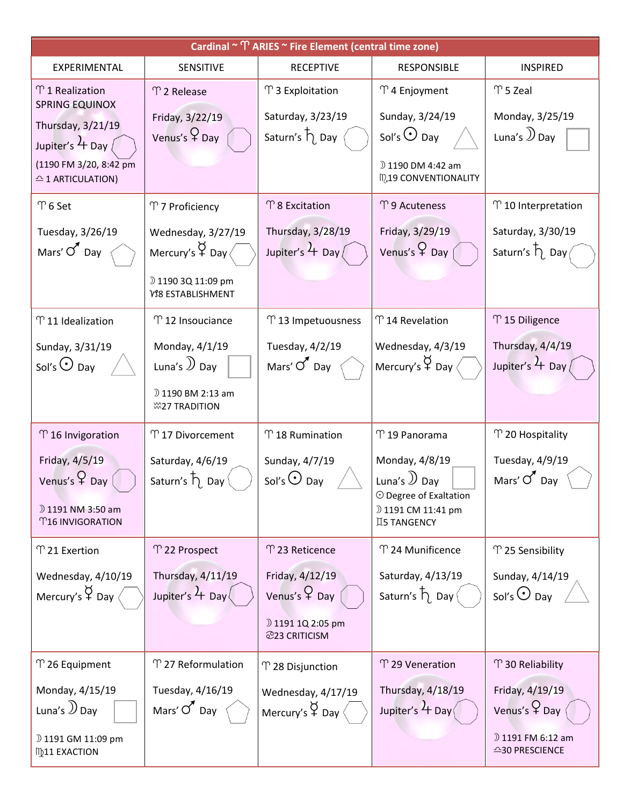| Cardinal ~ ^ ARIES ~ Fire Element (central time zone)                                                                                                                        |                                                                                                                          |                                                                                       |                                                                                                                        |                                                                                   |  |  |  |  |  |  |
|------------------------------------------------------------------------------------------------------------------------------------------------------------------------------|--------------------------------------------------------------------------------------------------------------------------|---------------------------------------------------------------------------------------|------------------------------------------------------------------------------------------------------------------------|-----------------------------------------------------------------------------------|--|--|--|--|--|--|
| EXPERIMENTAL                                                                                                                                                                 | <b>SENSITIVE</b>                                                                                                         | <b>RECEPTIVE</b>                                                                      | <b>RESPONSIBLE</b>                                                                                                     | <b>INSPIRED</b>                                                                   |  |  |  |  |  |  |
| $\Upsilon$ 1 Realization<br><b>SPRING EQUINOX</b><br>Thursday, 3/21/19<br>Jupiter's $\frac{1}{2}$ Day $\frac{1}{2}$<br>(1190 FM 3/20, 8:42 pm<br>$\triangle$ 1 ARTICULATION) | T 2 Release<br>Friday, 3/22/19<br>Venus's $\varphi$ Day                                                                  | T 3 Exploitation<br>Saturday, 3/23/19<br>Saturn's $\overline{\uparrow}$ Day           | ↑ 4 Enjoyment<br>Sunday, 3/24/19<br>Sol's $\odot$ Day<br>D 1190 DM 4:42 am<br>ID,19 CONVENTIONALITY                    | $\Upsilon$ 5 Zeal<br>Monday, 3/25/19<br>Luna's $\mathcal{Y}_{\text{Day}}$         |  |  |  |  |  |  |
| $\Upsilon$ 6 Set                                                                                                                                                             | T 7 Proficiency                                                                                                          | $\Upsilon$ 8 Excitation                                                               | T 9 Acuteness                                                                                                          | $\Upsilon$ 10 Interpretation                                                      |  |  |  |  |  |  |
| Tuesday, 3/26/19<br>Mars' $\sigma$ Day                                                                                                                                       | Wednesday, 3/27/19<br>Mercury's $\overleftrightarrow{P}$ Day $\langle$<br>D 1190 3Q 11:09 pm<br><b>VS8 ESTABLISHMENT</b> | Thursday, 3/28/19<br>Jupiter's $4$ Day $($                                            | Friday, 3/29/19<br>Venus's $\varphi$ Day                                                                               | Saturday, 3/30/19<br>Saturn's $\overline{\mathsf{h}}$ Day $\overline{\mathsf{h}}$ |  |  |  |  |  |  |
| $\Upsilon$ 11 Idealization                                                                                                                                                   | T 12 Insouciance                                                                                                         | T 13 Impetuousness                                                                    | ↑ 14 Revelation                                                                                                        | T 15 Diligence                                                                    |  |  |  |  |  |  |
| Sunday, 3/31/19<br>Sol's $\odot$ Day                                                                                                                                         | Monday, 4/1/19<br>Luna's $\mathcal{Y}$ Day<br>D 1190 BM 2:13 am<br><b><i>C</i>27 TRADITION</b>                           | Tuesday, 4/2/19<br>Mars' $\sigma$ Day                                                 | Wednesday, 4/3/19<br>Mercury's $\overleftrightarrow{P}$ Day $\langle$                                                  | Thursday, 4/4/19<br>Jupiter's $\frac{1}{1}$ Day                                   |  |  |  |  |  |  |
| $\Upsilon$ 16 Invigoration                                                                                                                                                   | $\Upsilon$ 17 Divorcement                                                                                                | T 18 Rumination                                                                       | ↑19 Panorama                                                                                                           | $\Upsilon$ 20 Hospitality                                                         |  |  |  |  |  |  |
| Friday, 4/5/19<br>Venus's $\varphi$ Day<br>D 1191 NM 3:50 am<br><b>T16 INVIGORATION</b>                                                                                      | Saturday, 4/6/19<br>Saturn's $\overline{h}$ Day                                                                          | Sunday, 4/7/19<br>Sol's $\odot$ Day                                                   | Monday, 4/8/19<br>Luna's $\mathcal{D}$ Day<br>$\odot$ Degree of Exaltation<br>D 1191 CM 11:41 pm<br><b>IS TANGENCY</b> | Tuesday, 4/9/19<br>Mars' $\sigma$ Day                                             |  |  |  |  |  |  |
| T 21 Exertion                                                                                                                                                                | m 22 Prospect                                                                                                            | T 23 Reticence                                                                        | ↑ 24 Munificence                                                                                                       | T 25 Sensibility                                                                  |  |  |  |  |  |  |
| Wednesday, 4/10/19<br>Mercury's $\overleftrightarrow{P}$ Day $\langle$                                                                                                       | Thursday, 4/11/19<br>Jupiter's $4$ Day                                                                                   | Friday, 4/12/19<br>Venus's $\varphi$ Day<br>D 1191 1Q 2:05 pm<br><b>223 CRITICISM</b> | Saturday, 4/13/19<br>Saturn's $\overline{\mathsf{h}}$ Day $($                                                          | Sunday, 4/14/19<br>Sol's $\odot$ Day                                              |  |  |  |  |  |  |
| $\Upsilon$ 26 Equipment                                                                                                                                                      | T 27 Reformulation                                                                                                       | ↑ 28 Disjunction                                                                      | T 29 Veneration                                                                                                        | T 30 Reliability                                                                  |  |  |  |  |  |  |
| Monday, 4/15/19<br>Luna's $\mathcal{Y}_{\text{Day}}$<br>D 1191 GM 11:09 pm<br><b>ID11 EXACTION</b>                                                                           | Tuesday, 4/16/19<br>Mars' $O'$ Day                                                                                       | Wednesday, 4/17/19<br>Mercury's $\overleftrightarrow{P}$ Day                          | Thursday, 4/18/19<br>Jupiter's $4$ Day                                                                                 | Friday, 4/19/19<br>Venus's $\varphi$ Day<br>D 1191 FM 6:12 am<br>$-30$ PRESCIENCE |  |  |  |  |  |  |